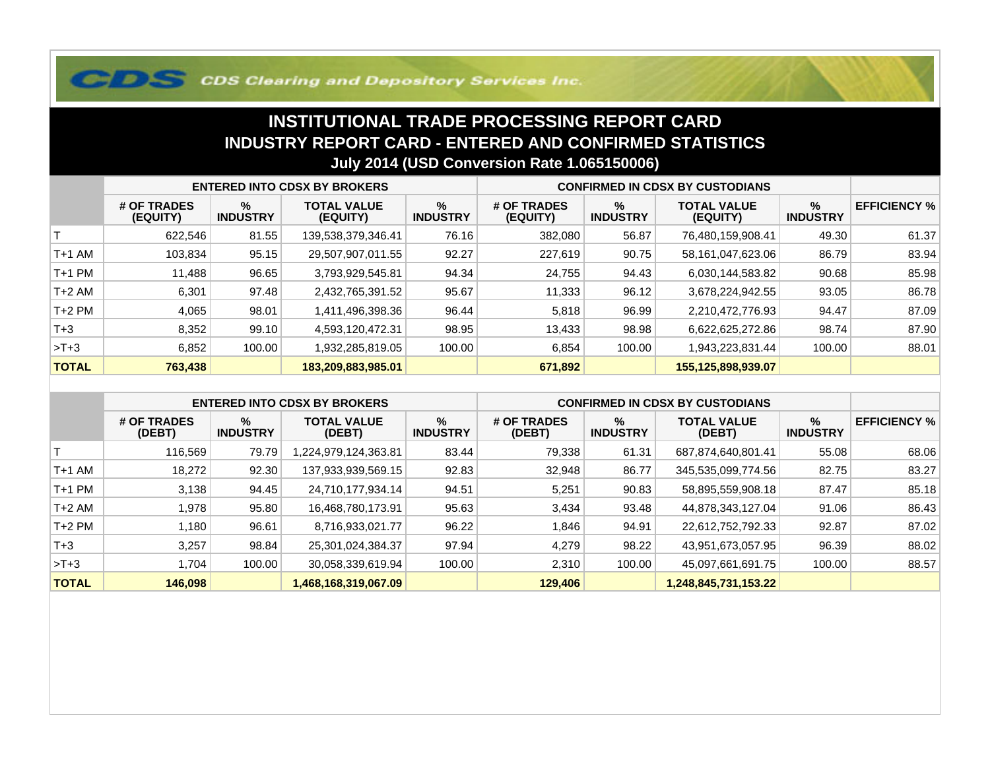## **COS Clearing and Depository Services Inc.**

## **INSTITUTIONAL TRADE PROCESSING REPORT CARD INDUSTRY REPORT CARD - ENTERED AND CONFIRMED STATISTICSJuly 2014 (USD Conversion Rate 1.065150006)**

|              | <b>ENTERED INTO CDSX BY BROKERS</b> |                         |                                |                         | <b>CONFIRMED IN CDSX BY CUSTODIANS</b> |                      |                                |                      |                     |
|--------------|-------------------------------------|-------------------------|--------------------------------|-------------------------|----------------------------------------|----------------------|--------------------------------|----------------------|---------------------|
|              | # OF TRADES<br>(EQUITY)             | $\%$<br><b>INDUSTRY</b> | <b>TOTAL VALUE</b><br>(EQUITY) | $\%$<br><b>INDUSTRY</b> | # OF TRADES<br>(EQUITY)                | %<br><b>INDUSTRY</b> | <b>TOTAL VALUE</b><br>(EQUITY) | %<br><b>INDUSTRY</b> | <b>EFFICIENCY %</b> |
|              | 622.546                             | 81.55                   | 139,538,379,346.41             | 76.16                   | 382,080                                | 56.87                | 76,480,159,908.41              | 49.30                | 61.37               |
| T+1 AM       | 103,834                             | 95.15                   | 29,507,907,011.55              | 92.27                   | 227,619                                | 90.75                | 58,161,047,623.06              | 86.79                | 83.94               |
| T+1 PM       | 11,488                              | 96.65                   | 3,793,929,545.81               | 94.34                   | 24,755                                 | 94.43                | 6,030,144,583.82               | 90.68                | 85.98               |
| T+2 AM       | 6,301                               | 97.48                   | 2,432,765,391.52               | 95.67                   | 11,333                                 | 96.12                | 3,678,224,942.55               | 93.05                | 86.78               |
| $T+2$ PM     | 4,065                               | 98.01                   | 1,411,496,398.36               | 96.44                   | 5,818                                  | 96.99                | 2,210,472,776.93               | 94.47                | 87.09               |
| $T + 3$      | 8,352                               | 99.10                   | 4,593,120,472.31               | 98.95                   | 13,433                                 | 98.98                | 6,622,625,272.86               | 98.74                | 87.90               |
| $>T+3$       | 6,852                               | 100.00                  | 1,932,285,819.05               | 100.00                  | 6,854                                  | 100.00               | 1,943,223,831.44               | 100.00               | 88.01               |
| <b>TOTAL</b> | 763,438                             |                         | 183,209,883,985.01             |                         | 671,892                                |                      | 155,125,898,939.07             |                      |                     |

|              | <b>ENTERED INTO CDSX BY BROKERS</b> |                      |                              |                         | <b>CONFIRMED IN CDSX BY CUSTODIANS</b> |                      |                              |                      |                     |
|--------------|-------------------------------------|----------------------|------------------------------|-------------------------|----------------------------------------|----------------------|------------------------------|----------------------|---------------------|
|              | # OF TRADES<br>(DEBT)               | %<br><b>INDUSTRY</b> | <b>TOTAL VALUE</b><br>(DEBT) | $\%$<br><b>INDUSTRY</b> | # OF TRADES<br>(DEBT)                  | %<br><b>INDUSTRY</b> | <b>TOTAL VALUE</b><br>(DEBT) | %<br><b>INDUSTRY</b> | <b>EFFICIENCY %</b> |
|              | 116.569                             | 79.79                | ,224,979,124,363.81          | 83.44                   | 79,338                                 | 61.31                | 687,874,640,801.41           | 55.08                | 68.06               |
| $T+1$ AM     | 18.272                              | 92.30                | 137,933,939,569.15           | 92.83                   | 32,948                                 | 86.77                | 345,535,099,774.56           | 82.75                | 83.27               |
| $T+1$ PM     | 3,138                               | 94.45                | 24,710,177,934.14            | 94.51                   | 5,251                                  | 90.83                | 58,895,559,908.18            | 87.47                | 85.18               |
| $T+2$ AM     | 978. ا                              | 95.80                | 16,468,780,173.91            | 95.63                   | 3,434                                  | 93.48                | 44,878,343,127.04            | 91.06                | 86.43               |
| $T+2$ PM     | ∣ 180. ا                            | 96.61                | 8,716,933,021.77             | 96.22                   | 1,846                                  | 94.91                | 22,612,752,792.33            | 92.87                | 87.02               |
| $T+3$        | 3.257                               | 98.84                | 25,301,024,384.37            | 97.94                   | 4.279                                  | 98.22                | 43,951,673,057.95            | 96.39                | 88.02               |
| $>T+3$       | .704                                | 100.00               | 30,058,339,619.94            | 100.00                  | 2,310                                  | 100.00               | 45,097,661,691.75            | 100.00               | 88.57               |
| <b>TOTAL</b> | 146,098                             |                      | 1,468,168,319,067.09         |                         | 129,406                                |                      | 1,248,845,731,153.22         |                      |                     |